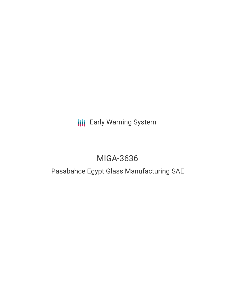# **III** Early Warning System

# MIGA-3636

# Pasabahce Egypt Glass Manufacturing SAE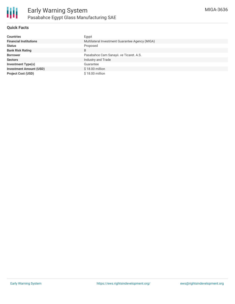

#### **Quick Facts**

| <b>Countries</b>               | Egypt                                           |
|--------------------------------|-------------------------------------------------|
| <b>Financial Institutions</b>  | Multilateral Investment Guarantee Agency (MIGA) |
| <b>Status</b>                  | Proposed                                        |
| <b>Bank Risk Rating</b>        | B                                               |
| <b>Borrower</b>                | Pasabahce Cam Sanayii. ve Ticaret. A.S.         |
| <b>Sectors</b>                 | Industry and Trade                              |
| Investment Type(s)             | Guarantee                                       |
| <b>Investment Amount (USD)</b> | \$18.00 million                                 |
| <b>Project Cost (USD)</b>      | \$18.00 million                                 |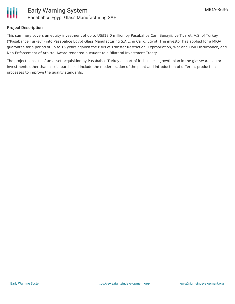

#### **Project Description**

This summary covers an equity investment of up to US\$18.0 million by Pasabahce Cam Sanayii. ve Ticaret. A.S. of Turkey ("Pasabahce Turkey") into Pasabahce Egypt Glass Manufacturing S.A.E. in Cairo, Egypt. The investor has applied for a MIGA guarantee for a period of up to 15 years against the risks of Transfer Restriction, Expropriation, War and Civil Disturbance, and Non-Enforcement of Arbitral Award rendered pursuant to a Bilateral Investment Treaty.

The project consists of an asset acquisition by Pasabahce Turkey as part of its business growth plan in the glassware sector. Investments other than assets purchased include the modernization of the plant and introduction of different production processes to improve the quality standards.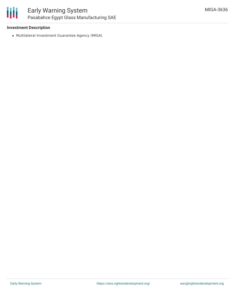

#### **Investment Description**

Multilateral Investment Guarantee Agency (MIGA)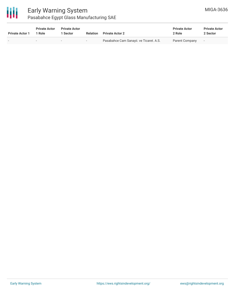

### Early Warning System Pasabahce Egypt Glass Manufacturing SAE

| <b>Private Actor 1</b> | <b>Private Actor</b><br>1 Role | <b>Private Actor</b><br><b>Sector</b> | Relation | <b>Private Actor 2</b>                  | <b>Private Actor</b><br>2 Role | <b>Private Actor</b><br>2 Sector |
|------------------------|--------------------------------|---------------------------------------|----------|-----------------------------------------|--------------------------------|----------------------------------|
|                        |                                | $\overline{\phantom{a}}$              | $-$      | Pasabahce Cam Sanayii. ve Ticaret. A.S. | Parent Company                 | $\sim$                           |